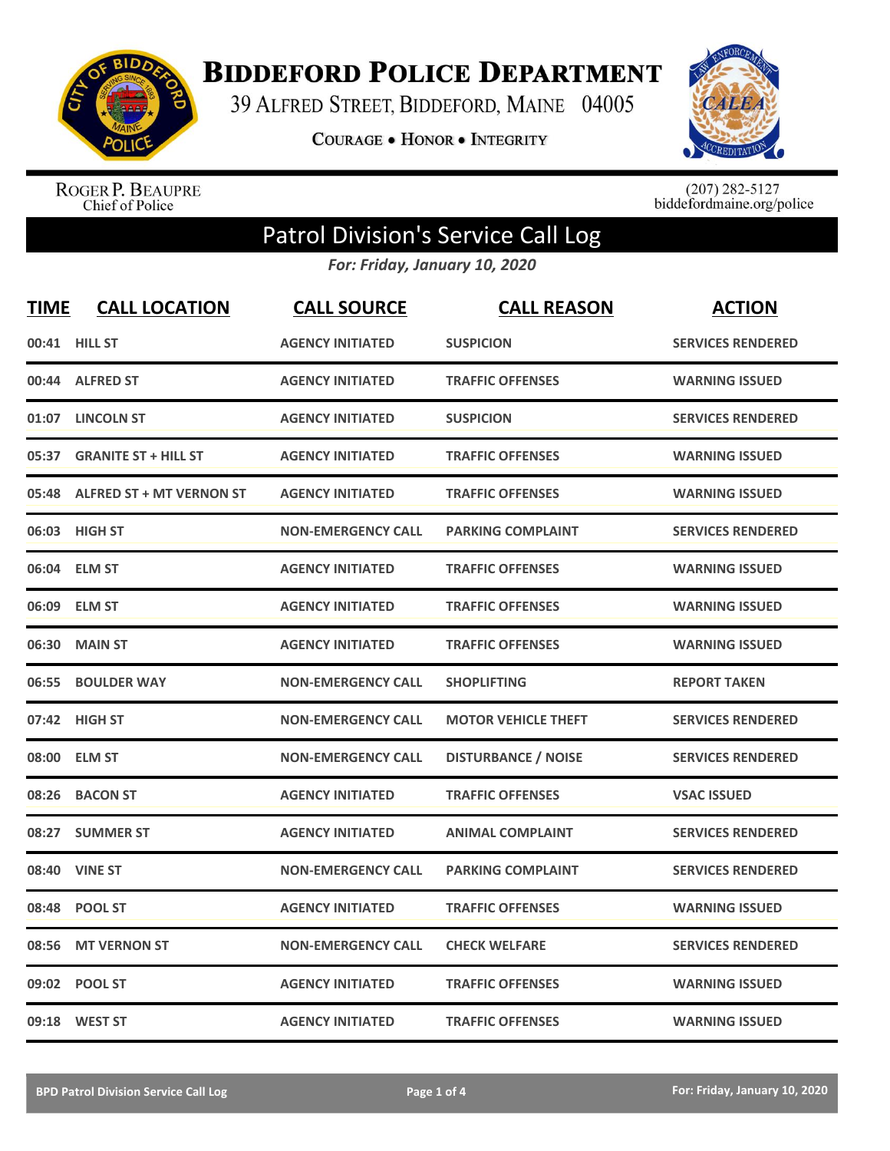

**BIDDEFORD POLICE DEPARTMENT** 

39 ALFRED STREET, BIDDEFORD, MAINE 04005

**COURAGE . HONOR . INTEGRITY** 



ROGER P. BEAUPRE<br>Chief of Police

 $(207)$  282-5127<br>biddefordmaine.org/police

## Patrol Division's Service Call Log

*For: Friday, January 10, 2020*

| <b>TIME</b> | <b>CALL LOCATION</b>            | <b>CALL SOURCE</b>        | <b>CALL REASON</b>         | <b>ACTION</b>            |
|-------------|---------------------------------|---------------------------|----------------------------|--------------------------|
|             | 00:41 HILL ST                   | <b>AGENCY INITIATED</b>   | <b>SUSPICION</b>           | <b>SERVICES RENDERED</b> |
| 00:44       | <b>ALFRED ST</b>                | <b>AGENCY INITIATED</b>   | <b>TRAFFIC OFFENSES</b>    | <b>WARNING ISSUED</b>    |
| 01:07       | <b>LINCOLN ST</b>               | <b>AGENCY INITIATED</b>   | <b>SUSPICION</b>           | <b>SERVICES RENDERED</b> |
| 05:37       | <b>GRANITE ST + HILL ST</b>     | <b>AGENCY INITIATED</b>   | <b>TRAFFIC OFFENSES</b>    | <b>WARNING ISSUED</b>    |
| 05:48       | <b>ALFRED ST + MT VERNON ST</b> | <b>AGENCY INITIATED</b>   | <b>TRAFFIC OFFENSES</b>    | <b>WARNING ISSUED</b>    |
|             | 06:03 HIGH ST                   | <b>NON-EMERGENCY CALL</b> | <b>PARKING COMPLAINT</b>   | <b>SERVICES RENDERED</b> |
| 06:04       | <b>ELM ST</b>                   | <b>AGENCY INITIATED</b>   | <b>TRAFFIC OFFENSES</b>    | <b>WARNING ISSUED</b>    |
| 06:09       | <b>ELM ST</b>                   | <b>AGENCY INITIATED</b>   | <b>TRAFFIC OFFENSES</b>    | <b>WARNING ISSUED</b>    |
| 06:30       | <b>MAIN ST</b>                  | <b>AGENCY INITIATED</b>   | <b>TRAFFIC OFFENSES</b>    | <b>WARNING ISSUED</b>    |
| 06:55       | <b>BOULDER WAY</b>              | <b>NON-EMERGENCY CALL</b> | <b>SHOPLIFTING</b>         | <b>REPORT TAKEN</b>      |
|             | 07:42 HIGH ST                   | <b>NON-EMERGENCY CALL</b> | <b>MOTOR VEHICLE THEFT</b> | <b>SERVICES RENDERED</b> |
| 08:00       | <b>ELM ST</b>                   | <b>NON-EMERGENCY CALL</b> | <b>DISTURBANCE / NOISE</b> | <b>SERVICES RENDERED</b> |
| 08:26       | <b>BACON ST</b>                 | <b>AGENCY INITIATED</b>   | <b>TRAFFIC OFFENSES</b>    | <b>VSAC ISSUED</b>       |
| 08:27       | <b>SUMMER ST</b>                | <b>AGENCY INITIATED</b>   | <b>ANIMAL COMPLAINT</b>    | <b>SERVICES RENDERED</b> |
| 08:40       | <b>VINE ST</b>                  | <b>NON-EMERGENCY CALL</b> | <b>PARKING COMPLAINT</b>   | <b>SERVICES RENDERED</b> |
| 08:48       | <b>POOL ST</b>                  | <b>AGENCY INITIATED</b>   | <b>TRAFFIC OFFENSES</b>    | <b>WARNING ISSUED</b>    |
| 08:56       | <b>MT VERNON ST</b>             | <b>NON-EMERGENCY CALL</b> | <b>CHECK WELFARE</b>       | <b>SERVICES RENDERED</b> |
| 09:02       | <b>POOL ST</b>                  | <b>AGENCY INITIATED</b>   | <b>TRAFFIC OFFENSES</b>    | <b>WARNING ISSUED</b>    |
|             | 09:18 WEST ST                   | <b>AGENCY INITIATED</b>   | <b>TRAFFIC OFFENSES</b>    | <b>WARNING ISSUED</b>    |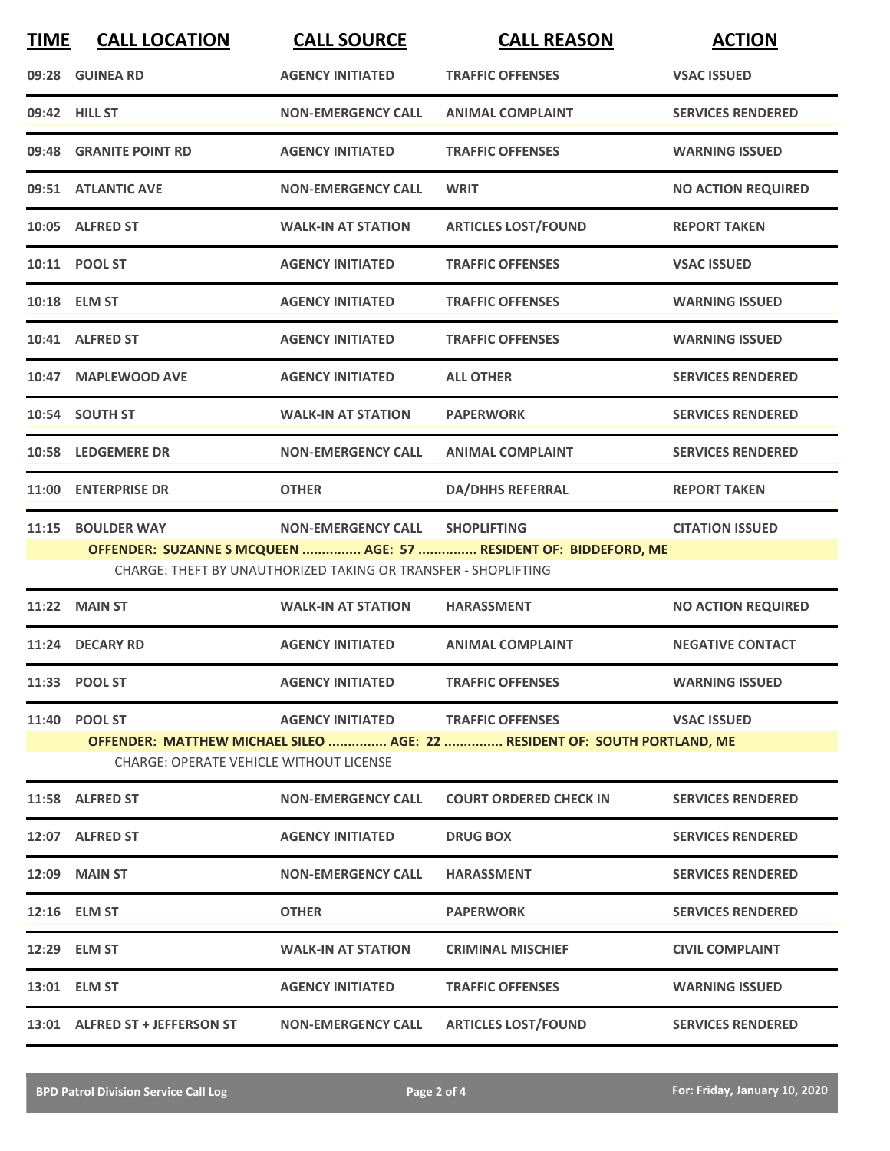| <b>TIME</b> | <b>CALL LOCATION</b>                           | <b>CALL SOURCE</b>                                             | <b>CALL REASON</b>                                                        | <b>ACTION</b>             |
|-------------|------------------------------------------------|----------------------------------------------------------------|---------------------------------------------------------------------------|---------------------------|
|             | 09:28 GUINEA RD                                | <b>AGENCY INITIATED</b>                                        | <b>TRAFFIC OFFENSES</b>                                                   | <b>VSAC ISSUED</b>        |
|             | 09:42 HILL ST                                  | <b>NON-EMERGENCY CALL</b>                                      | <b>ANIMAL COMPLAINT</b>                                                   | <b>SERVICES RENDERED</b>  |
|             | 09:48 GRANITE POINT RD                         | <b>AGENCY INITIATED</b>                                        | <b>TRAFFIC OFFENSES</b>                                                   | <b>WARNING ISSUED</b>     |
|             | 09:51 ATLANTIC AVE                             | <b>NON-EMERGENCY CALL</b>                                      | <b>WRIT</b>                                                               | <b>NO ACTION REQUIRED</b> |
|             | 10:05 ALFRED ST                                | <b>WALK-IN AT STATION</b>                                      | <b>ARTICLES LOST/FOUND</b>                                                | <b>REPORT TAKEN</b>       |
|             | 10:11 POOL ST                                  | <b>AGENCY INITIATED</b>                                        | <b>TRAFFIC OFFENSES</b>                                                   | <b>VSAC ISSUED</b>        |
|             | 10:18 ELM ST                                   | <b>AGENCY INITIATED</b>                                        | <b>TRAFFIC OFFENSES</b>                                                   | <b>WARNING ISSUED</b>     |
|             | 10:41 ALFRED ST                                | <b>AGENCY INITIATED</b>                                        | <b>TRAFFIC OFFENSES</b>                                                   | <b>WARNING ISSUED</b>     |
|             | 10:47 MAPLEWOOD AVE                            | <b>AGENCY INITIATED</b>                                        | <b>ALL OTHER</b>                                                          | <b>SERVICES RENDERED</b>  |
|             | 10:54 SOUTH ST                                 | <b>WALK-IN AT STATION</b>                                      | <b>PAPERWORK</b>                                                          | <b>SERVICES RENDERED</b>  |
|             | <b>10:58 LEDGEMERE DR</b>                      | <b>NON-EMERGENCY CALL</b>                                      | <b>ANIMAL COMPLAINT</b>                                                   | <b>SERVICES RENDERED</b>  |
| 11:00       | <b>ENTERPRISE DR</b>                           | <b>OTHER</b>                                                   | <b>DA/DHHS REFERRAL</b>                                                   | <b>REPORT TAKEN</b>       |
| 11:15       | <b>BOULDER WAY</b>                             | <b>NON-EMERGENCY CALL</b>                                      | <b>SHOPLIFTING</b>                                                        | <b>CITATION ISSUED</b>    |
|             |                                                | CHARGE: THEFT BY UNAUTHORIZED TAKING OR TRANSFER - SHOPLIFTING | OFFENDER: SUZANNE S MCQUEEN  AGE: 57  RESIDENT OF: BIDDEFORD, ME          |                           |
|             | <b>11:22 MAIN ST</b>                           | <b>WALK-IN AT STATION</b>                                      | <b>HARASSMENT</b>                                                         | <b>NO ACTION REQUIRED</b> |
| 11:24       | <b>DECARY RD</b>                               | <b>AGENCY INITIATED</b>                                        | <b>ANIMAL COMPLAINT</b>                                                   | <b>NEGATIVE CONTACT</b>   |
|             | 11:33 POOL ST                                  | <b>AGENCY INITIATED</b>                                        | <b>TRAFFIC OFFENSES</b>                                                   | <b>WARNING ISSUED</b>     |
|             | 11:40 POOL ST                                  | <b>AGENCY INITIATED</b>                                        | <b>TRAFFIC OFFENSES</b>                                                   | <b>VSAC ISSUED</b>        |
|             | <b>CHARGE: OPERATE VEHICLE WITHOUT LICENSE</b> |                                                                | OFFENDER: MATTHEW MICHAEL SILEO  AGE: 22  RESIDENT OF: SOUTH PORTLAND, ME |                           |
|             | 11:58 ALFRED ST                                | <b>NON-EMERGENCY CALL</b>                                      | <b>COURT ORDERED CHECK IN</b>                                             | <b>SERVICES RENDERED</b>  |
|             | 12:07 ALFRED ST                                | <b>AGENCY INITIATED</b>                                        | <b>DRUG BOX</b>                                                           | <b>SERVICES RENDERED</b>  |
|             | 12:09 MAIN ST                                  | <b>NON-EMERGENCY CALL</b>                                      | <b>HARASSMENT</b>                                                         | <b>SERVICES RENDERED</b>  |
|             | 12:16 ELM ST                                   | <b>OTHER</b>                                                   | <b>PAPERWORK</b>                                                          | <b>SERVICES RENDERED</b>  |
|             | 12:29 ELM ST                                   | <b>WALK-IN AT STATION</b>                                      | <b>CRIMINAL MISCHIEF</b>                                                  | <b>CIVIL COMPLAINT</b>    |
|             | 13:01 ELM ST                                   | <b>AGENCY INITIATED</b>                                        | <b>TRAFFIC OFFENSES</b>                                                   | <b>WARNING ISSUED</b>     |
|             | 13:01 ALFRED ST + JEFFERSON ST                 | <b>NON-EMERGENCY CALL</b>                                      | <b>ARTICLES LOST/FOUND</b>                                                | <b>SERVICES RENDERED</b>  |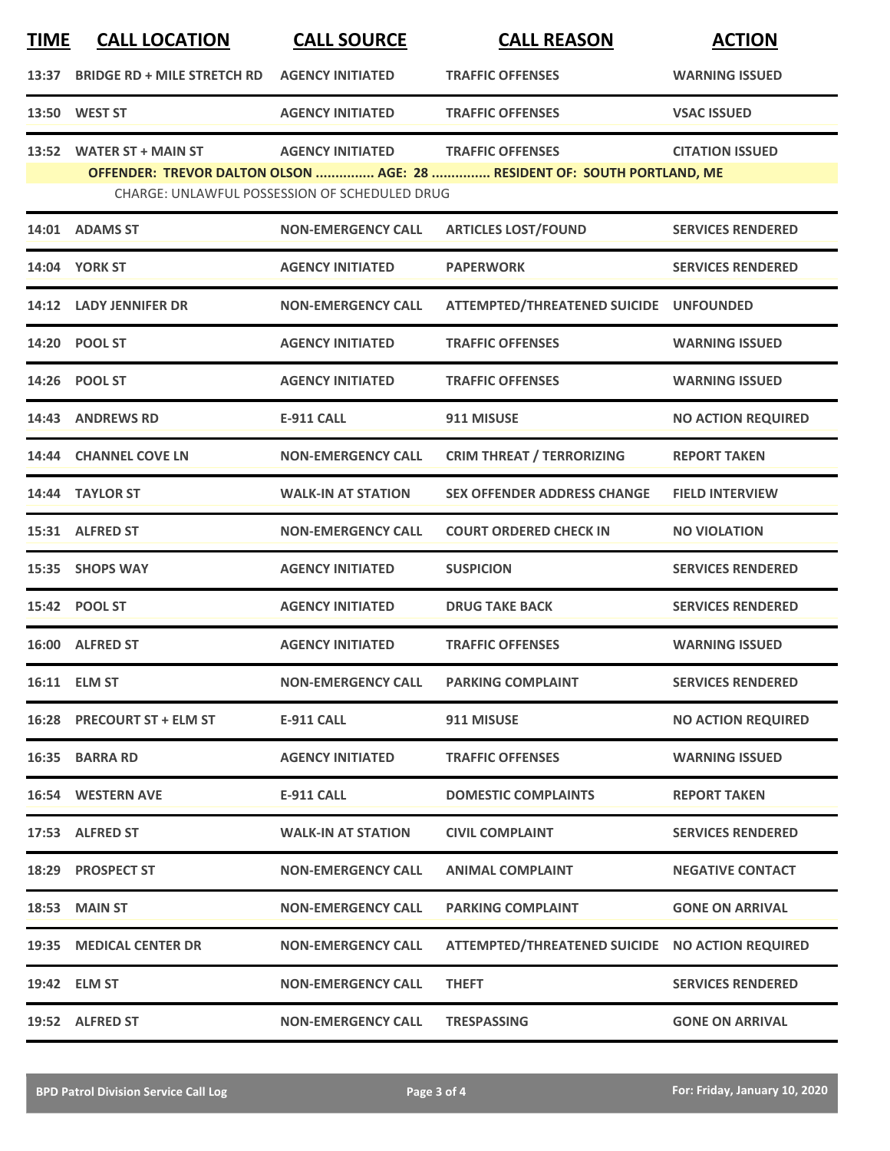| <b>TIME</b> | <b>CALL LOCATION</b>               | <b>CALL SOURCE</b>                            | <b>CALL REASON</b>                                                                                 | <b>ACTION</b>             |
|-------------|------------------------------------|-----------------------------------------------|----------------------------------------------------------------------------------------------------|---------------------------|
| 13:37       | <b>BRIDGE RD + MILE STRETCH RD</b> | <b>AGENCY INITIATED</b>                       | <b>TRAFFIC OFFENSES</b>                                                                            | <b>WARNING ISSUED</b>     |
|             | 13:50 WEST ST                      | <b>AGENCY INITIATED</b>                       | <b>TRAFFIC OFFENSES</b>                                                                            | <b>VSAC ISSUED</b>        |
| 13:52       | <b>WATER ST + MAIN ST</b>          | <b>AGENCY INITIATED</b>                       | <b>TRAFFIC OFFENSES</b><br>OFFENDER: TREVOR DALTON OLSON  AGE: 28  RESIDENT OF: SOUTH PORTLAND, ME | <b>CITATION ISSUED</b>    |
|             |                                    | CHARGE: UNLAWFUL POSSESSION OF SCHEDULED DRUG |                                                                                                    |                           |
|             | 14:01 ADAMS ST                     | <b>NON-EMERGENCY CALL</b>                     | <b>ARTICLES LOST/FOUND</b>                                                                         | <b>SERVICES RENDERED</b>  |
|             | 14:04 YORK ST                      | <b>AGENCY INITIATED</b>                       | <b>PAPERWORK</b>                                                                                   | <b>SERVICES RENDERED</b>  |
|             | 14:12 LADY JENNIFER DR             | <b>NON-EMERGENCY CALL</b>                     | ATTEMPTED/THREATENED SUICIDE UNFOUNDED                                                             |                           |
| 14:20       | <b>POOL ST</b>                     | <b>AGENCY INITIATED</b>                       | <b>TRAFFIC OFFENSES</b>                                                                            | <b>WARNING ISSUED</b>     |
|             | 14:26 POOL ST                      | <b>AGENCY INITIATED</b>                       | <b>TRAFFIC OFFENSES</b>                                                                            | <b>WARNING ISSUED</b>     |
|             | 14:43 ANDREWS RD                   | <b>E-911 CALL</b>                             | 911 MISUSE                                                                                         | <b>NO ACTION REQUIRED</b> |
|             | 14:44 CHANNEL COVE LN              | <b>NON-EMERGENCY CALL</b>                     | <b>CRIM THREAT / TERRORIZING</b>                                                                   | <b>REPORT TAKEN</b>       |
|             | 14:44 TAYLOR ST                    | <b>WALK-IN AT STATION</b>                     | <b>SEX OFFENDER ADDRESS CHANGE</b>                                                                 | <b>FIELD INTERVIEW</b>    |
|             | 15:31 ALFRED ST                    | <b>NON-EMERGENCY CALL</b>                     | <b>COURT ORDERED CHECK IN</b>                                                                      | <b>NO VIOLATION</b>       |
| 15:35       | <b>SHOPS WAY</b>                   | <b>AGENCY INITIATED</b>                       | <b>SUSPICION</b>                                                                                   | <b>SERVICES RENDERED</b>  |
|             | 15:42 POOL ST                      | <b>AGENCY INITIATED</b>                       | <b>DRUG TAKE BACK</b>                                                                              | <b>SERVICES RENDERED</b>  |
|             | 16:00 ALFRED ST                    | <b>AGENCY INITIATED</b>                       | <b>TRAFFIC OFFENSES</b>                                                                            | <b>WARNING ISSUED</b>     |
|             | 16:11 ELM ST                       | <b>NON-EMERGENCY CALL</b>                     | <b>PARKING COMPLAINT</b>                                                                           | <b>SERVICES RENDERED</b>  |
|             | 16:28 PRECOURT ST + ELM ST         | <b>E-911 CALL</b>                             | 911 MISUSE                                                                                         | <b>NO ACTION REQUIRED</b> |
|             | 16:35 BARRA RD                     | <b>AGENCY INITIATED</b>                       | <b>TRAFFIC OFFENSES</b>                                                                            | <b>WARNING ISSUED</b>     |
|             | <b>16:54 WESTERN AVE</b>           | E-911 CALL                                    | <b>DOMESTIC COMPLAINTS</b>                                                                         | <b>REPORT TAKEN</b>       |
|             | 17:53 ALFRED ST                    | <b>WALK-IN AT STATION</b>                     | <b>CIVIL COMPLAINT</b>                                                                             | <b>SERVICES RENDERED</b>  |
|             | 18:29 PROSPECT ST                  | <b>NON-EMERGENCY CALL</b>                     | <b>ANIMAL COMPLAINT</b>                                                                            | <b>NEGATIVE CONTACT</b>   |
|             | <b>18:53 MAIN ST</b>               | <b>NON-EMERGENCY CALL</b>                     | <b>PARKING COMPLAINT</b>                                                                           | <b>GONE ON ARRIVAL</b>    |
|             | 19:35 MEDICAL CENTER DR            | <b>NON-EMERGENCY CALL</b>                     | ATTEMPTED/THREATENED SUICIDE NO ACTION REQUIRED                                                    |                           |
|             | 19:42 ELM ST                       | <b>NON-EMERGENCY CALL</b>                     | <b>THEFT</b>                                                                                       | <b>SERVICES RENDERED</b>  |
|             | 19:52 ALFRED ST                    | <b>NON-EMERGENCY CALL</b>                     | <b>TRESPASSING</b>                                                                                 | <b>GONE ON ARRIVAL</b>    |